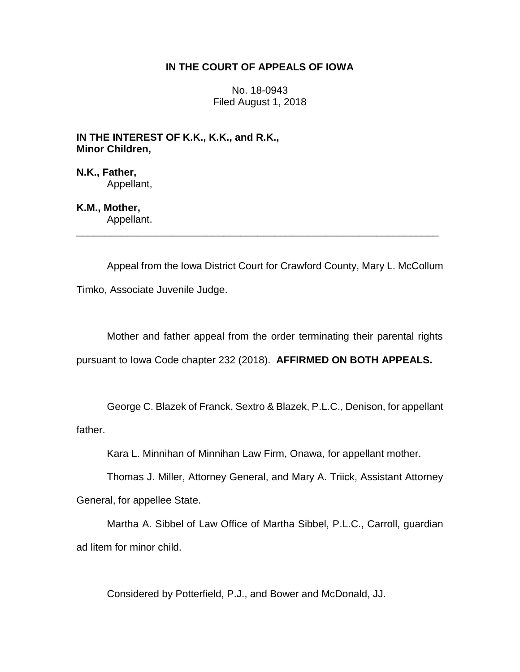### **IN THE COURT OF APPEALS OF IOWA**

No. 18-0943 Filed August 1, 2018

**IN THE INTEREST OF K.K., K.K., and R.K., Minor Children,**

**N.K., Father,** Appellant,

**K.M., Mother,** Appellant.

Appeal from the Iowa District Court for Crawford County, Mary L. McCollum Timko, Associate Juvenile Judge.

\_\_\_\_\_\_\_\_\_\_\_\_\_\_\_\_\_\_\_\_\_\_\_\_\_\_\_\_\_\_\_\_\_\_\_\_\_\_\_\_\_\_\_\_\_\_\_\_\_\_\_\_\_\_\_\_\_\_\_\_\_\_\_\_

Mother and father appeal from the order terminating their parental rights pursuant to Iowa Code chapter 232 (2018). **AFFIRMED ON BOTH APPEALS.** 

George C. Blazek of Franck, Sextro & Blazek, P.L.C., Denison, for appellant father.

Kara L. Minnihan of Minnihan Law Firm, Onawa, for appellant mother.

Thomas J. Miller, Attorney General, and Mary A. Triick, Assistant Attorney General, for appellee State.

Martha A. Sibbel of Law Office of Martha Sibbel, P.L.C., Carroll, guardian ad litem for minor child.

Considered by Potterfield, P.J., and Bower and McDonald, JJ.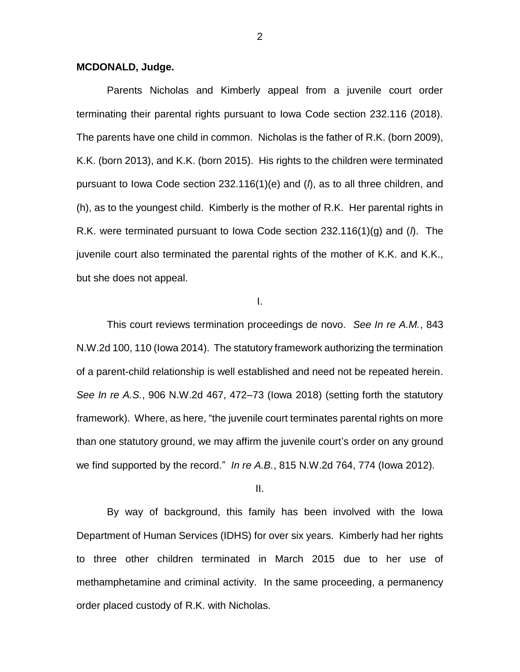### **MCDONALD, Judge.**

Parents Nicholas and Kimberly appeal from a juvenile court order terminating their parental rights pursuant to Iowa Code section 232.116 (2018). The parents have one child in common. Nicholas is the father of R.K. (born 2009), K.K. (born 2013), and K.K. (born 2015). His rights to the children were terminated pursuant to Iowa Code section 232.116(1)(e) and (*l*), as to all three children, and (h), as to the youngest child. Kimberly is the mother of R.K. Her parental rights in R.K. were terminated pursuant to Iowa Code section 232.116(1)(g) and (*l*). The juvenile court also terminated the parental rights of the mother of K.K. and K.K., but she does not appeal.

I.

This court reviews termination proceedings de novo. *See In re A.M.*, 843 N.W.2d 100, 110 (Iowa 2014). The statutory framework authorizing the termination of a parent-child relationship is well established and need not be repeated herein. *See In re A.S.*, 906 N.W.2d 467, 472–73 (Iowa 2018) (setting forth the statutory framework). Where, as here, "the juvenile court terminates parental rights on more than one statutory ground, we may affirm the juvenile court's order on any ground we find supported by the record." *In re A.B.*, 815 N.W.2d 764, 774 (Iowa 2012).

II.

By way of background, this family has been involved with the Iowa Department of Human Services (IDHS) for over six years. Kimberly had her rights to three other children terminated in March 2015 due to her use of methamphetamine and criminal activity. In the same proceeding, a permanency order placed custody of R.K. with Nicholas.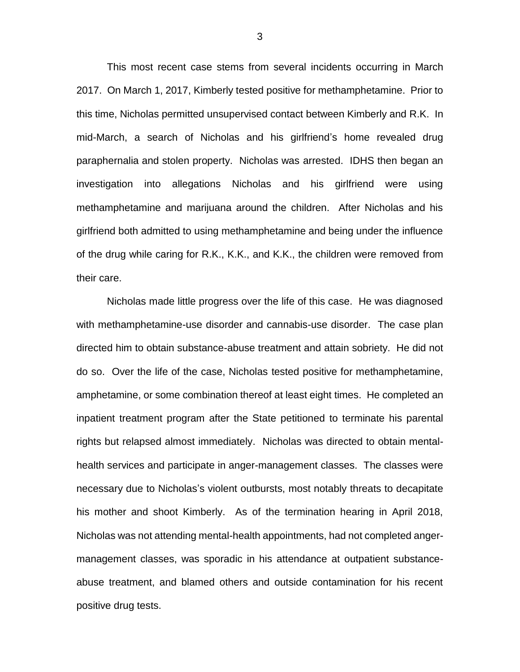This most recent case stems from several incidents occurring in March 2017. On March 1, 2017, Kimberly tested positive for methamphetamine. Prior to this time, Nicholas permitted unsupervised contact between Kimberly and R.K. In mid-March, a search of Nicholas and his girlfriend's home revealed drug paraphernalia and stolen property. Nicholas was arrested. IDHS then began an investigation into allegations Nicholas and his girlfriend were using methamphetamine and marijuana around the children. After Nicholas and his girlfriend both admitted to using methamphetamine and being under the influence of the drug while caring for R.K., K.K., and K.K., the children were removed from their care.

Nicholas made little progress over the life of this case. He was diagnosed with methamphetamine-use disorder and cannabis-use disorder. The case plan directed him to obtain substance-abuse treatment and attain sobriety. He did not do so. Over the life of the case, Nicholas tested positive for methamphetamine, amphetamine, or some combination thereof at least eight times. He completed an inpatient treatment program after the State petitioned to terminate his parental rights but relapsed almost immediately. Nicholas was directed to obtain mentalhealth services and participate in anger-management classes. The classes were necessary due to Nicholas's violent outbursts, most notably threats to decapitate his mother and shoot Kimberly. As of the termination hearing in April 2018, Nicholas was not attending mental-health appointments, had not completed angermanagement classes, was sporadic in his attendance at outpatient substanceabuse treatment, and blamed others and outside contamination for his recent positive drug tests.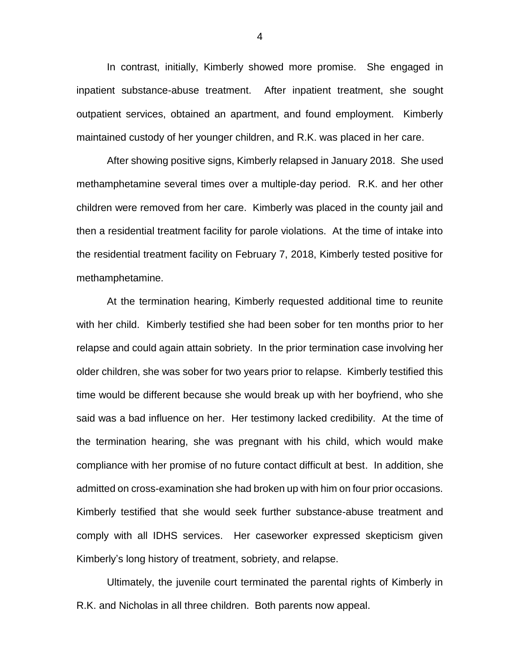In contrast, initially, Kimberly showed more promise. She engaged in inpatient substance-abuse treatment. After inpatient treatment, she sought outpatient services, obtained an apartment, and found employment. Kimberly maintained custody of her younger children, and R.K. was placed in her care.

After showing positive signs, Kimberly relapsed in January 2018. She used methamphetamine several times over a multiple-day period. R.K. and her other children were removed from her care. Kimberly was placed in the county jail and then a residential treatment facility for parole violations. At the time of intake into the residential treatment facility on February 7, 2018, Kimberly tested positive for methamphetamine.

At the termination hearing, Kimberly requested additional time to reunite with her child. Kimberly testified she had been sober for ten months prior to her relapse and could again attain sobriety. In the prior termination case involving her older children, she was sober for two years prior to relapse. Kimberly testified this time would be different because she would break up with her boyfriend, who she said was a bad influence on her. Her testimony lacked credibility. At the time of the termination hearing, she was pregnant with his child, which would make compliance with her promise of no future contact difficult at best. In addition, she admitted on cross-examination she had broken up with him on four prior occasions. Kimberly testified that she would seek further substance-abuse treatment and comply with all IDHS services. Her caseworker expressed skepticism given Kimberly's long history of treatment, sobriety, and relapse.

Ultimately, the juvenile court terminated the parental rights of Kimberly in R.K. and Nicholas in all three children. Both parents now appeal.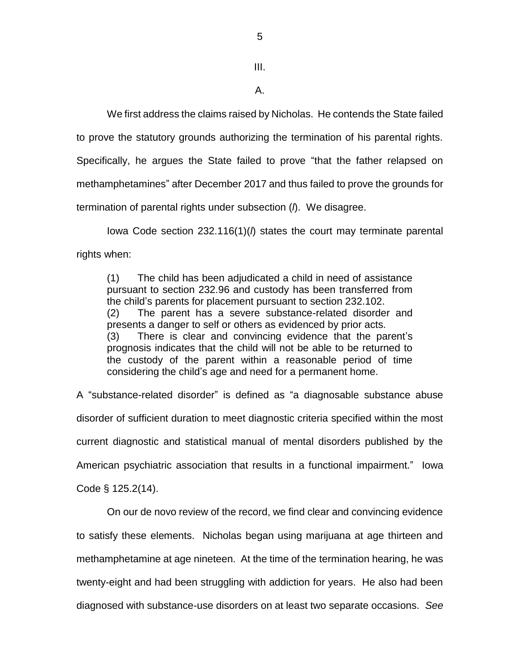III.

A.

We first address the claims raised by Nicholas. He contends the State failed to prove the statutory grounds authorizing the termination of his parental rights. Specifically, he argues the State failed to prove "that the father relapsed on methamphetamines" after December 2017 and thus failed to prove the grounds for termination of parental rights under subsection (*l*). We disagree.

Iowa Code section 232.116(1)(*l*) states the court may terminate parental rights when:

(1) The child has been adjudicated a child in need of assistance pursuant to section 232.96 and custody has been transferred from the child's parents for placement pursuant to section 232.102. (2) The parent has a severe substance-related disorder and presents a danger to self or others as evidenced by prior acts. (3) There is clear and convincing evidence that the parent's prognosis indicates that the child will not be able to be returned to the custody of the parent within a reasonable period of time considering the child's age and need for a permanent home.

A "substance-related disorder" is defined as "a diagnosable substance abuse disorder of sufficient duration to meet diagnostic criteria specified within the most current diagnostic and statistical manual of mental disorders published by the American psychiatric association that results in a functional impairment." Iowa Code § 125.2(14).

On our de novo review of the record, we find clear and convincing evidence to satisfy these elements. Nicholas began using marijuana at age thirteen and methamphetamine at age nineteen. At the time of the termination hearing, he was twenty-eight and had been struggling with addiction for years. He also had been diagnosed with substance-use disorders on at least two separate occasions. *See*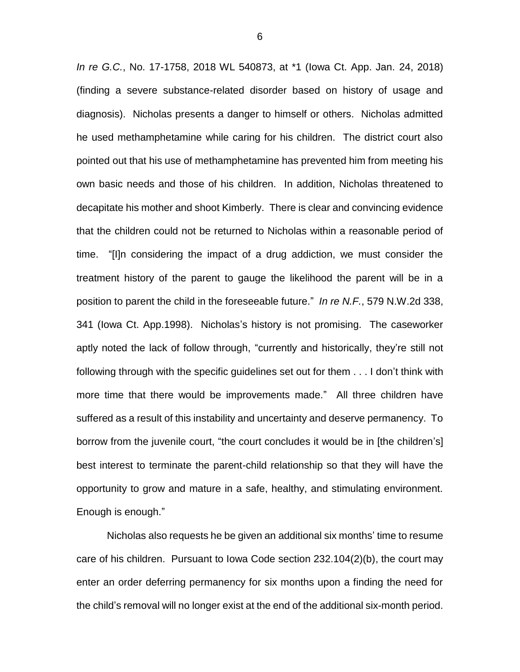*In re G.C.*, No. 17-1758, 2018 WL 540873, at \*1 (Iowa Ct. App. Jan. 24, 2018) (finding a severe substance-related disorder based on history of usage and diagnosis). Nicholas presents a danger to himself or others. Nicholas admitted he used methamphetamine while caring for his children. The district court also pointed out that his use of methamphetamine has prevented him from meeting his own basic needs and those of his children. In addition, Nicholas threatened to decapitate his mother and shoot Kimberly. There is clear and convincing evidence that the children could not be returned to Nicholas within a reasonable period of time. "[I]n considering the impact of a drug addiction, we must consider the treatment history of the parent to gauge the likelihood the parent will be in a position to parent the child in the foreseeable future." *In re N.F.*, 579 N.W.2d 338, 341 (Iowa Ct. App.1998). Nicholas's history is not promising. The caseworker aptly noted the lack of follow through, "currently and historically, they're still not following through with the specific guidelines set out for them . . . I don't think with more time that there would be improvements made." All three children have suffered as a result of this instability and uncertainty and deserve permanency. To borrow from the juvenile court, "the court concludes it would be in [the children's] best interest to terminate the parent-child relationship so that they will have the opportunity to grow and mature in a safe, healthy, and stimulating environment. Enough is enough."

Nicholas also requests he be given an additional six months' time to resume care of his children. Pursuant to Iowa Code section 232.104(2)(b), the court may enter an order deferring permanency for six months upon a finding the need for the child's removal will no longer exist at the end of the additional six-month period.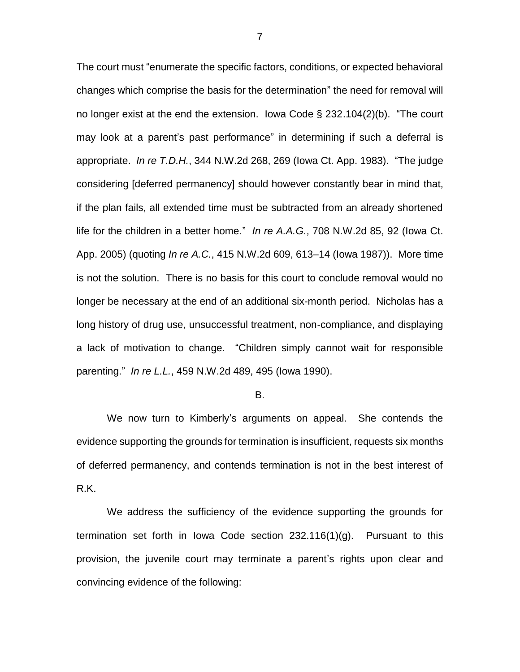The court must "enumerate the specific factors, conditions, or expected behavioral changes which comprise the basis for the determination" the need for removal will no longer exist at the end the extension. Iowa Code § 232.104(2)(b). "The court may look at a parent's past performance" in determining if such a deferral is appropriate. *In re T.D.H.*, 344 N.W.2d 268, 269 (Iowa Ct. App. 1983). "The judge considering [deferred permanency] should however constantly bear in mind that, if the plan fails, all extended time must be subtracted from an already shortened life for the children in a better home." *In re A.A.G.*, 708 N.W.2d 85, 92 (Iowa Ct. App. 2005) (quoting *In re A.C.*, 415 N.W.2d 609, 613–14 (Iowa 1987)). More time is not the solution. There is no basis for this court to conclude removal would no longer be necessary at the end of an additional six-month period. Nicholas has a long history of drug use, unsuccessful treatment, non-compliance, and displaying a lack of motivation to change. "Children simply cannot wait for responsible parenting." *In re L.L.*, 459 N.W.2d 489, 495 (Iowa 1990).

#### B.

We now turn to Kimberly's arguments on appeal. She contends the evidence supporting the grounds for termination is insufficient, requests six months of deferred permanency, and contends termination is not in the best interest of R.K.

We address the sufficiency of the evidence supporting the grounds for termination set forth in Iowa Code section 232.116(1)(g). Pursuant to this provision, the juvenile court may terminate a parent's rights upon clear and convincing evidence of the following: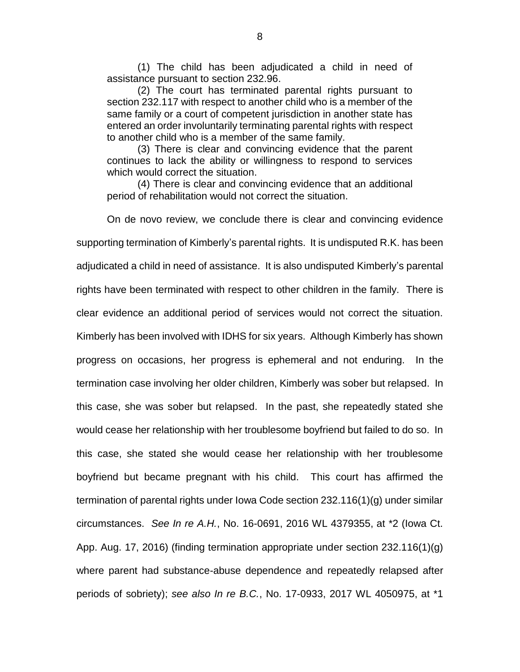(1) The child has been adjudicated a child in need of assistance pursuant to section 232.96.

(2) The court has terminated parental rights pursuant to section 232.117 with respect to another child who is a member of the same family or a court of competent jurisdiction in another state has entered an order involuntarily terminating parental rights with respect to another child who is a member of the same family.

(3) There is clear and convincing evidence that the parent continues to lack the ability or willingness to respond to services which would correct the situation.

(4) There is clear and convincing evidence that an additional period of rehabilitation would not correct the situation.

On de novo review, we conclude there is clear and convincing evidence supporting termination of Kimberly's parental rights. It is undisputed R.K. has been adjudicated a child in need of assistance. It is also undisputed Kimberly's parental rights have been terminated with respect to other children in the family. There is clear evidence an additional period of services would not correct the situation. Kimberly has been involved with IDHS for six years. Although Kimberly has shown progress on occasions, her progress is ephemeral and not enduring. In the termination case involving her older children, Kimberly was sober but relapsed. In this case, she was sober but relapsed. In the past, she repeatedly stated she would cease her relationship with her troublesome boyfriend but failed to do so. In this case, she stated she would cease her relationship with her troublesome boyfriend but became pregnant with his child. This court has affirmed the termination of parental rights under Iowa Code section 232.116(1)(g) under similar circumstances. *See In re A.H.*, No. 16-0691, 2016 WL 4379355, at \*2 (Iowa Ct. App. Aug. 17, 2016) (finding termination appropriate under section 232.116(1)(g) where parent had substance-abuse dependence and repeatedly relapsed after periods of sobriety); *see also In re B.C.*, No. 17-0933, 2017 WL 4050975, at \*1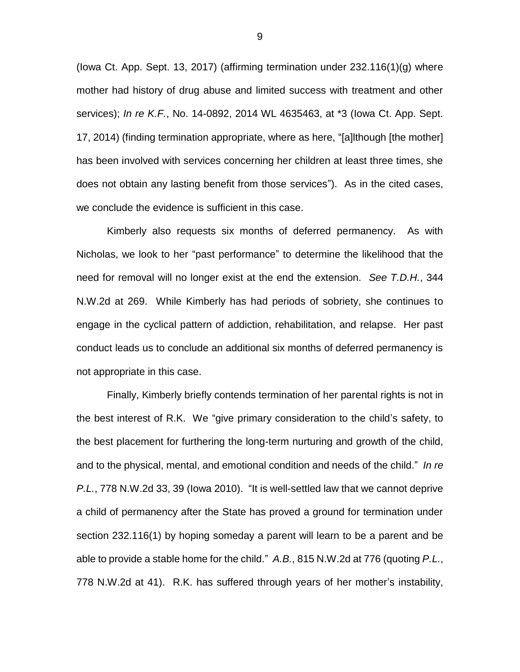(Iowa Ct. App. Sept. 13, 2017) (affirming termination under 232.116(1)(g) where mother had history of drug abuse and limited success with treatment and other services); *In re K.F.*, No. 14-0892, 2014 WL 4635463, at \*3 (Iowa Ct. App. Sept. 17, 2014) (finding termination appropriate, where as here, "[a]lthough [the mother] has been involved with services concerning her children at least three times, she does not obtain any lasting benefit from those services"). As in the cited cases, we conclude the evidence is sufficient in this case.

Kimberly also requests six months of deferred permanency. As with Nicholas, we look to her "past performance" to determine the likelihood that the need for removal will no longer exist at the end the extension. *See T.D.H.*, 344 N.W.2d at 269. While Kimberly has had periods of sobriety, she continues to engage in the cyclical pattern of addiction, rehabilitation, and relapse. Her past conduct leads us to conclude an additional six months of deferred permanency is not appropriate in this case.

Finally, Kimberly briefly contends termination of her parental rights is not in the best interest of R.K. We "give primary consideration to the child's safety, to the best placement for furthering the long-term nurturing and growth of the child, and to the physical, mental, and emotional condition and needs of the child." *In re P.L.*, 778 N.W.2d 33, 39 (Iowa 2010). "It is well-settled law that we cannot deprive a child of permanency after the State has proved a ground for termination under section 232.116(1) by hoping someday a parent will learn to be a parent and be able to provide a stable home for the child." *A.B.*, 815 N.W.2d at 776 (quoting *P.L.*, 778 N.W.2d at 41). R.K. has suffered through years of her mother's instability,